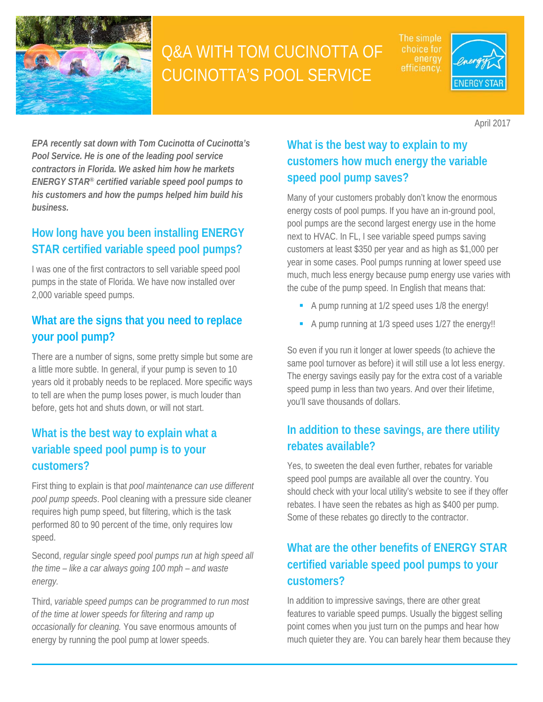

# Q&A WITH TOM CUCINOTTA OF CUCINOTTA'S POOL SERVICE

The simple energy efficiency.



April 2017

*EPA recently sat down with Tom Cucinotta of Cucinotta's Pool Service. He is one of the leading pool service contractors in Florida. We asked him how he markets ENERGY STAR® certified variable speed pool pumps to his customers and how the pumps helped him build his business.* 

## **How long have you been installing ENERGY STAR certified variable speed pool pumps?**

I was one of the first contractors to sell variable speed pool pumps in the state of Florida. We have now installed over 2,000 variable speed pumps.

## **What are the signs that you need to replace your pool pump?**

There are a number of signs, some pretty simple but some are a little more subtle. In general, if your pump is seven to 10 years old it probably needs to be replaced. More specific ways to tell are when the pump loses power, is much louder than before, gets hot and shuts down, or will not start.

# **What is the best way to explain what a variable speed pool pump is to your customers?**

First thing to explain is that *pool maintenance can use different pool pump speeds*. Pool cleaning with a pressure side cleaner requires high pump speed, but filtering, which is the task performed 80 to 90 percent of the time, only requires low speed.

 Second, *regular single speed pool pumps run at high speed all the time – like a car always going 100 mph – and waste energy.* 

Third, *variable speed pumps can be programmed to run most of the time at lower speeds for filtering and ramp up occasionally for cleaning.* You save enormous amounts of energy by running the pool pump at lower speeds.

# **What is the best way to explain to my customers how much energy the variable speed pool pump saves?**

Many of your customers probably don't know the enormous energy costs of pool pumps. If you have an in-ground pool, pool pumps are the second largest energy use in the home next to HVAC. In FL, I see variable speed pumps saving customers at least \$350 per year and as high as \$1,000 per year in some cases. Pool pumps running at lower speed use much, much less energy because pump energy use varies with the cube of the pump speed. In English that means that:

- A pump running at 1/2 speed uses 1/8 the energy!
- A pump running at 1/3 speed uses 1/27 the energy!!

So even if you run it longer at lower speeds (to achieve the same pool turnover as before) it will still use a lot less energy. The energy savings easily pay for the extra cost of a variable speed pump in less than two years. And over their lifetime, you'll save thousands of dollars.

#### **In addition to these savings, are there utility rebates available?**

Yes, to sweeten the deal even further, rebates for variable speed pool pumps are available all over the country. You should check with your local utility's website to see if they offer rebates. I have seen the rebates as high as \$400 per pump. Some of these rebates go directly to the contractor.

# **What are the other benefits of ENERGY STAR certified variable speed pool pumps to your customers?**

In addition to impressive savings, there are other great features to variable speed pumps. Usually the biggest selling point comes when you just turn on the pumps and hear how much quieter they are. You can barely hear them because they